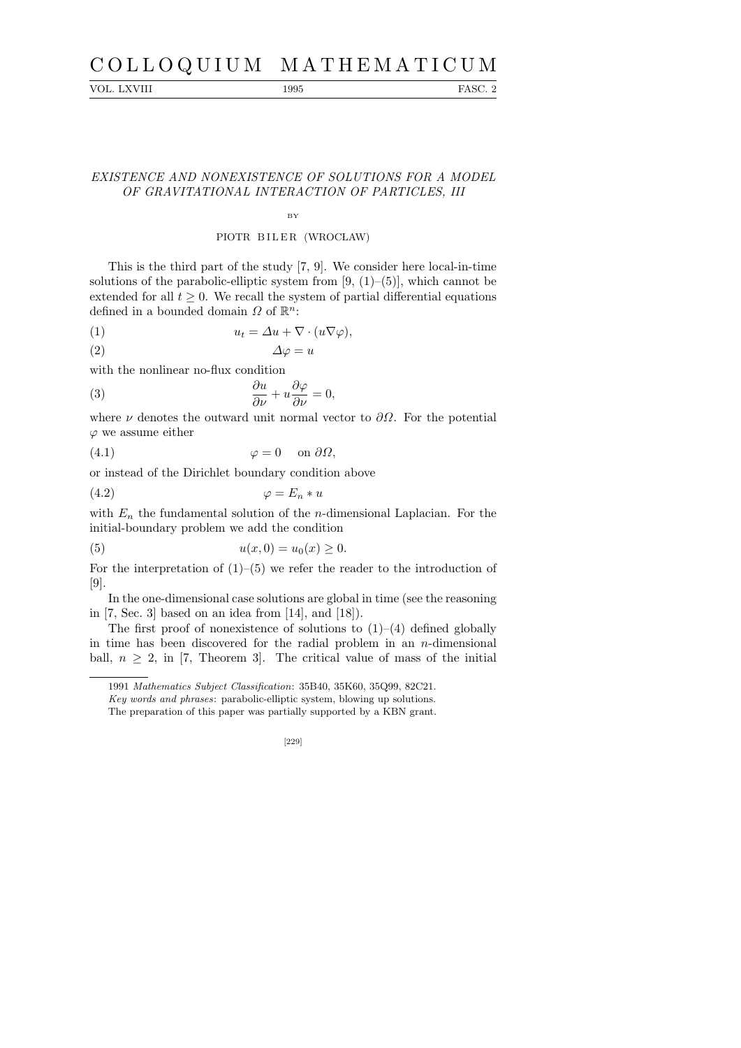# C O L L O Q U I U M M A T H E M A T I C U M

VOL. LXVIII 1995 FASC. 2

# EXISTENCE AND NONEXISTENCE OF SOLUTIONS FOR A MODEL OF GRAVITATIONAL INTERACTION OF PARTICLES, III

### BY

## PIOTR BILER (WROCLAW)

This is the third part of the study [7, 9]. We consider here local-in-time solutions of the parabolic-elliptic system from  $[9, (1)–(5)]$ , which cannot be extended for all  $t \geq 0$ . We recall the system of partial differential equations defined in a bounded domain  $\Omega$  of  $\mathbb{R}^n$ :

(1) 
$$
u_t = \Delta u + \nabla \cdot (u \nabla \varphi),
$$

$$
\Delta \varphi = u
$$

with the nonlinear no-flux condition

(3) 
$$
\frac{\partial u}{\partial \nu} + u \frac{\partial \varphi}{\partial \nu} = 0,
$$

where  $\nu$  denotes the outward unit normal vector to  $\partial\Omega$ . For the potential  $\varphi$  we assume either

(4.1) ϕ = 0 on ∂Ω,

or instead of the Dirichlet boundary condition above

$$
(4.2) \qquad \qquad \varphi = E_n * u
$$

with  $E_n$  the fundamental solution of the *n*-dimensional Laplacian. For the initial-boundary problem we add the condition

(5) 
$$
u(x, 0) = u_0(x) \ge 0.
$$

For the interpretation of  $(1)$ – $(5)$  we refer the reader to the introduction of [9].

In the one-dimensional case solutions are global in time (see the reasoning in  $[7, \text{Sec. 3}]$  based on an idea from  $[14]$ , and  $[18]$ ).

The first proof of nonexistence of solutions to  $(1)$ – $(4)$  defined globally in time has been discovered for the radial problem in an  $n$ -dimensional ball,  $n \geq 2$ , in [7, Theorem 3]. The critical value of mass of the initial

[229]

<sup>1991</sup> *Mathematics Subject Classification*: 35B40, 35K60, 35Q99, 82C21.

*Key words and phrases*: parabolic-elliptic system, blowing up solutions.

The preparation of this paper was partially supported by a KBN grant.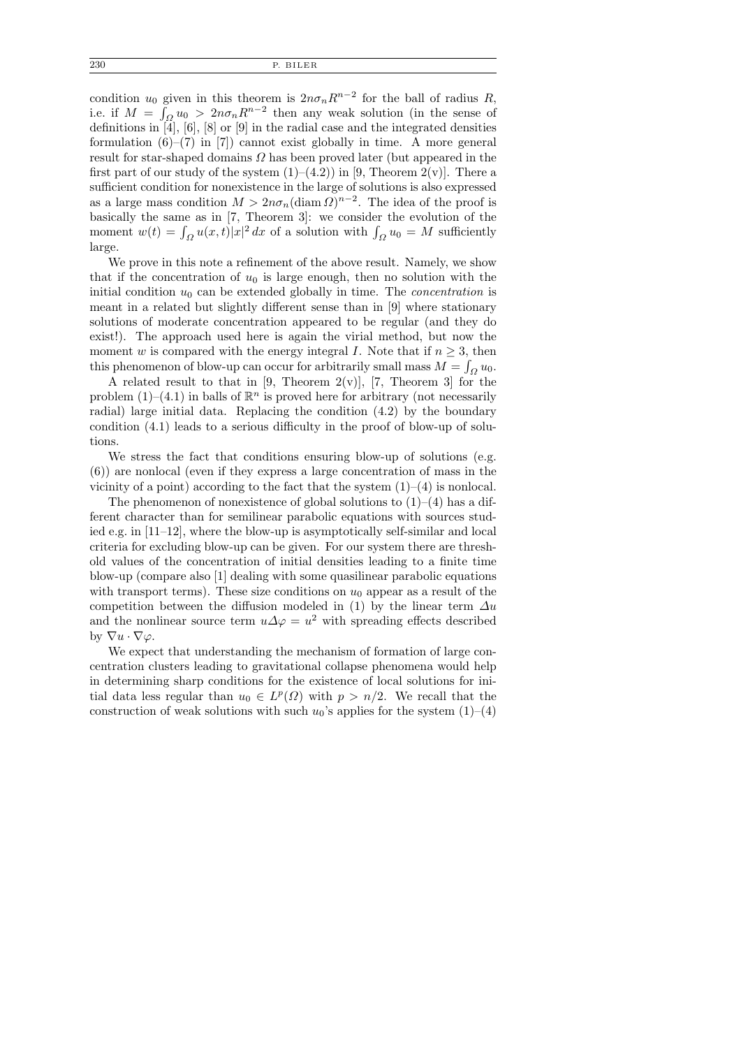condition  $u_0$  given in this theorem is  $2n\sigma_n R^{n-2}$  for the ball of radius R, i.e. if  $M = \int_{\Omega} u_0 > 2n\sigma_n R^{n-2}$  then any weak solution (in the sense of definitions in [4], [6], [8] or [9] in the radial case and the integrated densities formulation  $(6)$ – $(7)$  in  $[7]$ ) cannot exist globally in time. A more general result for star-shaped domains  $\Omega$  has been proved later (but appeared in the first part of our study of the system  $(1)–(4.2)$  in [9, Theorem 2(v)]. There a sufficient condition for nonexistence in the large of solutions is also expressed as a large mass condition  $M > 2n\sigma_n(\text{diam }\Omega)^{n-2}$ . The idea of the proof is basically the same as in [7, Theorem 3]: we consider the evolution of the moment  $w(t) = \int_{\Omega} u(x, t)|x|^2 dx$  of a solution with  $\int_{\Omega} u_0 = M$  sufficiently large.

We prove in this note a refinement of the above result. Namely, we show that if the concentration of  $u_0$  is large enough, then no solution with the initial condition  $u_0$  can be extended globally in time. The *concentration* is meant in a related but slightly different sense than in [9] where stationary solutions of moderate concentration appeared to be regular (and they do exist!). The approach used here is again the virial method, but now the moment w is compared with the energy integral I. Note that if  $n \geq 3$ , then this phenomenon of blow-up can occur for arbitrarily small mass  $M = \int_{\Omega} u_0$ .

A related result to that in [9, Theorem 2(v)], [7, Theorem 3] for the problem  $(1)$ – $(4.1)$  in balls of  $\mathbb{R}^n$  is proved here for arbitrary (not necessarily radial) large initial data. Replacing the condition (4.2) by the boundary condition (4.1) leads to a serious difficulty in the proof of blow-up of solutions.

We stress the fact that conditions ensuring blow-up of solutions (e.g. (6)) are nonlocal (even if they express a large concentration of mass in the vicinity of a point) according to the fact that the system  $(1)$ – $(4)$  is nonlocal.

The phenomenon of nonexistence of global solutions to  $(1)–(4)$  has a different character than for semilinear parabolic equations with sources studied e.g. in [11–12], where the blow-up is asymptotically self-similar and local criteria for excluding blow-up can be given. For our system there are threshold values of the concentration of initial densities leading to a finite time blow-up (compare also [1] dealing with some quasilinear parabolic equations with transport terms). These size conditions on  $u_0$  appear as a result of the competition between the diffusion modeled in (1) by the linear term  $\Delta u$ and the nonlinear source term  $u\Delta\varphi = u^2$  with spreading effects described by  $\nabla u \cdot \nabla \varphi$ .

We expect that understanding the mechanism of formation of large concentration clusters leading to gravitational collapse phenomena would help in determining sharp conditions for the existence of local solutions for initial data less regular than  $u_0 \in L^p(\Omega)$  with  $p > n/2$ . We recall that the construction of weak solutions with such  $u_0$ 's applies for the system  $(1)–(4)$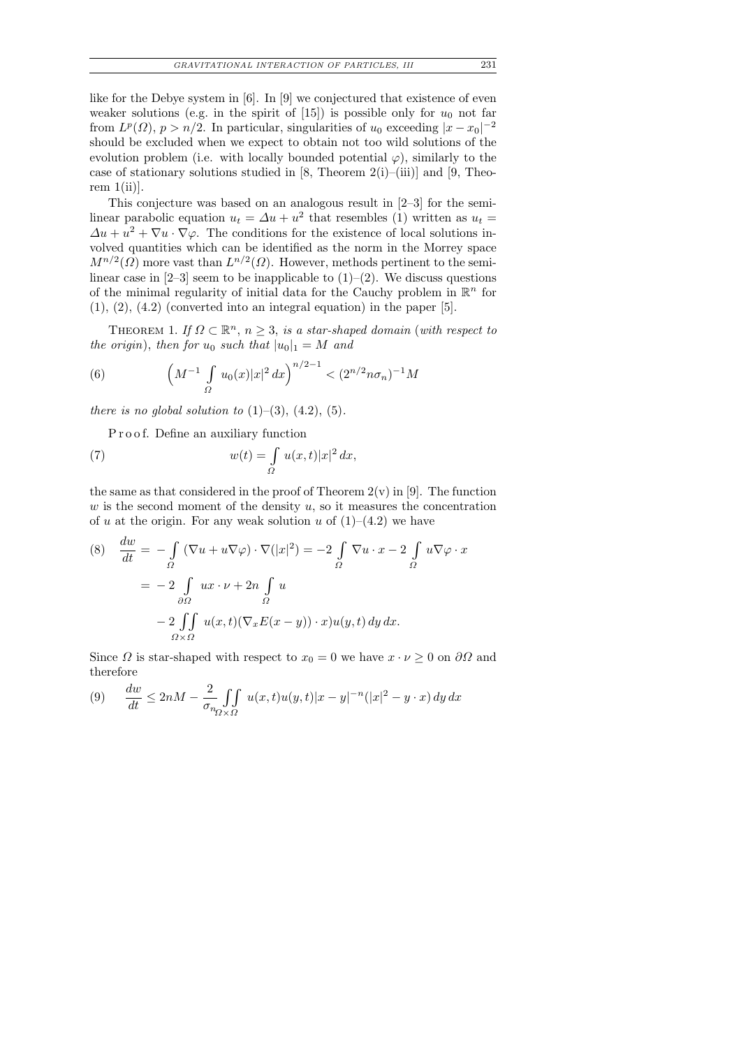like for the Debye system in [6]. In [9] we conjectured that existence of even weaker solutions (e.g. in the spirit of [15]) is possible only for  $u_0$  not far from  $L^p(\Omega)$ ,  $p > n/2$ . In particular, singularities of  $u_0$  exceeding  $|x - x_0|^{-2}$ should be excluded when we expect to obtain not too wild solutions of the evolution problem (i.e. with locally bounded potential  $\varphi$ ), similarly to the case of stationary solutions studied in [8, Theorem 2(i)–(iii)] and [9, Theorem  $1(i)$ .

This conjecture was based on an analogous result in [2–3] for the semilinear parabolic equation  $u_t = \Delta u + u^2$  that resembles (1) written as  $u_t =$  $\Delta u + u^2 + \nabla u \cdot \nabla \varphi$ . The conditions for the existence of local solutions involved quantities which can be identified as the norm in the Morrey space  $M^{n/2}(\Omega)$  more vast than  $L^{n/2}(\Omega)$ . However, methods pertinent to the semilinear case in  $[2-3]$  seem to be inapplicable to  $(1)-(2)$ . We discuss questions of the minimal regularity of initial data for the Cauchy problem in  $\mathbb{R}^n$  for  $(1), (2), (4.2)$  (converted into an integral equation) in the paper [5].

THEOREM 1. If  $\Omega \subset \mathbb{R}^n$ ,  $n \geq 3$ , is a star-shaped domain (with respect to the origin), then for  $u_0$  such that  $|u_0|_1 = M$  and

(6) 
$$
\left(M^{-1} \int\limits_{\Omega} u_0(x)|x|^2 dx\right)^{n/2-1} < (2^{n/2} n\sigma_n)^{-1}M
$$

there is no global solution to  $(1)–(3)$ ,  $(4.2)$ ,  $(5)$ .

P r o o f. Define an auxiliary function

(7) 
$$
w(t) = \int_{\Omega} u(x,t)|x|^2 dx,
$$

the same as that considered in the proof of Theorem  $2(v)$  in [9]. The function  $w$  is the second moment of the density  $u$ , so it measures the concentration of u at the origin. For any weak solution u of  $(1)$ – $(4.2)$  we have

(8) 
$$
\frac{dw}{dt} = -\int_{\Omega} (\nabla u + u \nabla \varphi) \cdot \nabla (|x|^2) = -2 \int_{\Omega} \nabla u \cdot x - 2 \int_{\Omega} u \nabla \varphi \cdot x
$$

$$
= -2 \int_{\partial \Omega} u x \cdot \nu + 2n \int_{\Omega} u
$$

$$
-2 \int_{\Omega \times \Omega} u(x, t) (\nabla_x E(x - y)) \cdot x) u(y, t) dy dx.
$$

Since  $\Omega$  is star-shaped with respect to  $x_0 = 0$  we have  $x \cdot \nu \geq 0$  on  $\partial \Omega$  and therefore

(9) 
$$
\frac{dw}{dt} \le 2nM - \frac{2}{\sigma_{\eta_2 \times \Omega}} \iint_{\Omega} u(x,t)u(y,t)|x-y|^{-n} (|x|^2 - y \cdot x) dy dx
$$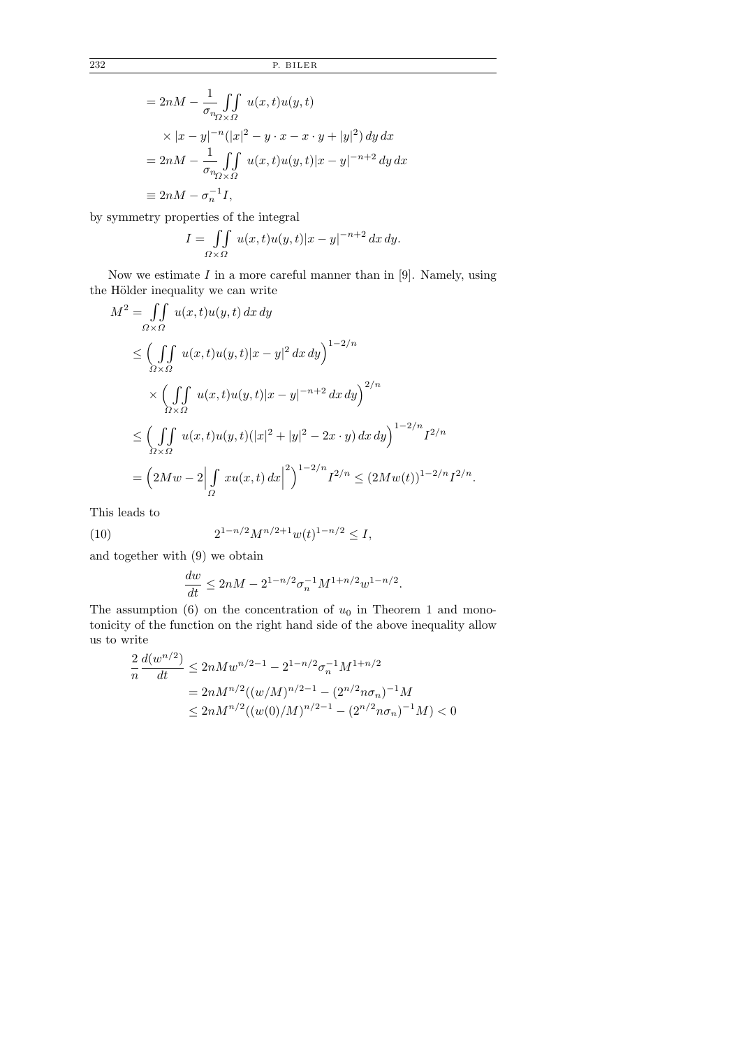$$
= 2nM - \frac{1}{\sigma_{n_{\Omega} \times \Omega}} \iint_{\Omega} u(x, t)u(y, t)
$$
  
\n
$$
\times |x - y|^{-n} (|x|^2 - y \cdot x - x \cdot y + |y|^2) dy dx
$$
  
\n
$$
= 2nM - \frac{1}{\sigma_{n_{\Omega} \times \Omega}} \iint_{\Omega} u(x, t)u(y, t)|x - y|^{-n+2} dy dx
$$
  
\n
$$
\equiv 2nM - \sigma_n^{-1} I,
$$

by symmetry properties of the integral

$$
I = \iint\limits_{\Omega \times \Omega} u(x,t)u(y,t)|x-y|^{-n+2} dx dy.
$$

Now we estimate  $I$  in a more careful manner than in [9]. Namely, using the Hölder inequality we can write

$$
M^{2} = \iint_{\Omega \times \Omega} u(x, t)u(y, t) dx dy
$$
  
\n
$$
\leq \left( \iint_{\Omega \times \Omega} u(x, t)u(y, t)|x - y|^{2} dx dy \right)^{1 - 2/n}
$$
  
\n
$$
\times \left( \iint_{\Omega \times \Omega} u(x, t)u(y, t)|x - y|^{-n+2} dx dy \right)^{2/n}
$$
  
\n
$$
\leq \left( \iint_{\Omega \times \Omega} u(x, t)u(y, t)(|x|^{2} + |y|^{2} - 2x \cdot y) dx dy \right)^{1 - 2/n} I^{2/n}
$$
  
\n
$$
= \left( 2Mw - 2 \left| \int_{\Omega} xu(x, t) dx \right|^{2} \right)^{1 - 2/n} I^{2/n} \leq (2Mw(t))^{1 - 2/n} I^{2/n}.
$$

This leads to

(10) 
$$
2^{1-n/2}M^{n/2+1}w(t)^{1-n/2} \leq I,
$$

and together with (9) we obtain

$$
\frac{dw}{dt} \le 2nM - 2^{1-n/2} \sigma_n^{-1} M^{1+n/2} w^{1-n/2}.
$$

The assumption  $(6)$  on the concentration of  $u_0$  in Theorem 1 and monotonicity of the function on the right hand side of the above inequality allow us to write

$$
\frac{2}{n} \frac{d(w^{n/2})}{dt} \le 2n M w^{n/2 - 1} - 2^{1 - n/2} \sigma_n^{-1} M^{1 + n/2}
$$
  
=  $2n M^{n/2} ((w/M)^{n/2 - 1} - (2^{n/2} n \sigma_n)^{-1} M$   
 $\le 2n M^{n/2} ((w(0)/M)^{n/2 - 1} - (2^{n/2} n \sigma_n)^{-1} M) < 0$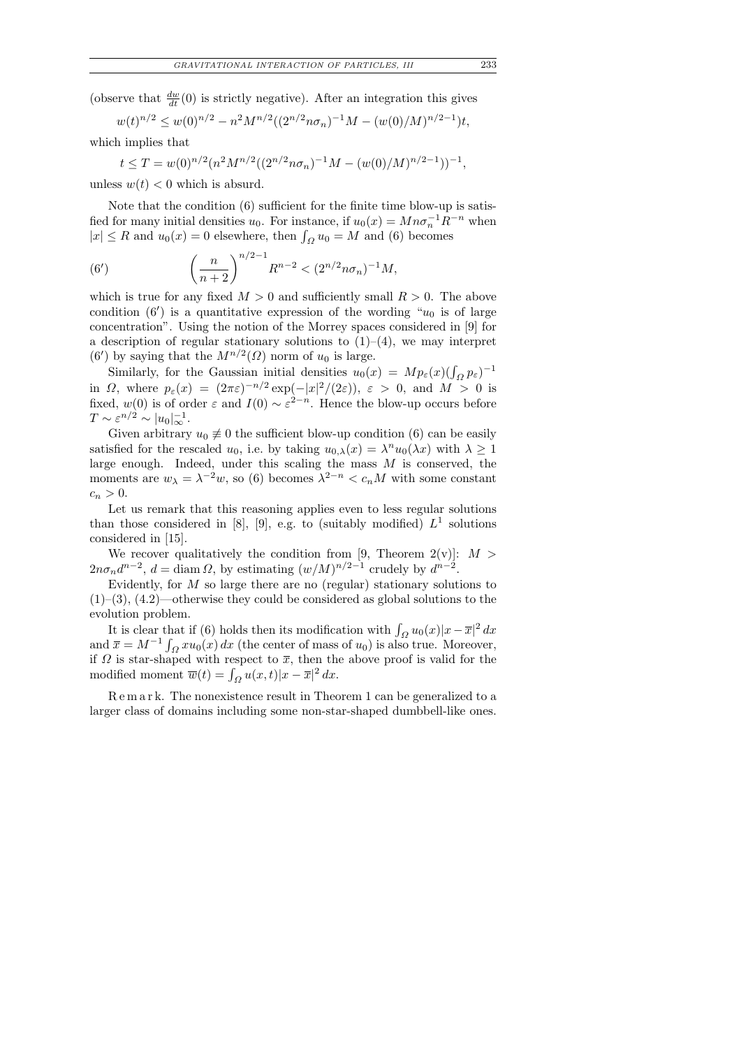(observe that  $\frac{dw}{dt}(0)$  is strictly negative). After an integration this gives

$$
w(t)^{n/2} \le w(0)^{n/2} - n^2 M^{n/2} ((2^{n/2} n \sigma_n)^{-1} M - (w(0)/M)^{n/2-1})t,
$$

which implies that

$$
t \leq T = w(0)^{n/2} (n^2 M^{n/2} ((2^{n/2} n \sigma_n)^{-1} M - (w(0)/M)^{n/2-1}))^{-1},
$$

unless  $w(t) < 0$  which is absurd.

Note that the condition (6) sufficient for the finite time blow-up is satisfied for many initial densities  $u_0$ . For instance, if  $u_0(x) = Mn\sigma_n^{-1}R^{-n}$  when  $|x| \le R$  and  $u_0(x) = 0$  elsewhere, then  $\int_{\Omega} u_0 = M$  and (6) becomes

(6') 
$$
\left(\frac{n}{n+2}\right)^{n/2-1} R^{n-2} < (2^{n/2} n \sigma_n)^{-1} M,
$$

which is true for any fixed  $M > 0$  and sufficiently small  $R > 0$ . The above condition  $(6')$  is a quantitative expression of the wording " $u_0$  is of large concentration". Using the notion of the Morrey spaces considered in [9] for a description of regular stationary solutions to  $(1)-(4)$ , we may interpret (6') by saying that the  $M^{n/2}(\Omega)$  norm of  $u_0$  is large.

Similarly, for the Gaussian initial densities  $u_0(x) = Mp_\varepsilon(x) (\int_{\Omega} p_\varepsilon)^{-1}$ in  $\Omega$ , where  $p_{\varepsilon}(x) = (2\pi\varepsilon)^{-n/2} \exp(-|x|^2/(2\varepsilon))$ ,  $\varepsilon > 0$ , and  $M > 0$  is fixed,  $w(0)$  is of order  $\varepsilon$  and  $I(0) \sim \varepsilon^{2-n}$ . Hence the blow-up occurs before  $T \sim \varepsilon^{n/2} \sim |u_0|_{\infty}^{-1}.$ 

Given arbitrary  $u_0 \neq 0$  the sufficient blow-up condition (6) can be easily satisfied for the rescaled  $u_0$ , i.e. by taking  $u_{0,\lambda}(x) = \lambda^n u_0(\lambda x)$  with  $\lambda \geq 1$ large enough. Indeed, under this scaling the mass  $M$  is conserved, the moments are  $w_{\lambda} = \lambda^{-2}w$ , so (6) becomes  $\lambda^{2-n} < c_n M$  with some constant  $c_n > 0.$ 

Let us remark that this reasoning applies even to less regular solutions than those considered in [8], [9], e.g. to (suitably modified)  $L^1$  solutions considered in [15].

We recover qualitatively the condition from [9, Theorem  $2(v)$ ]:  $M >$  $2n\sigma_n d^{n-2}$ ,  $d = \text{diam }\Omega$ , by estimating  $(w/M)^{n/2-1}$  crudely by  $d^{n-2}$ .

Evidently, for  $M$  so large there are no (regular) stationary solutions to  $(1)$ – $(3)$ ,  $(4.2)$ —otherwise they could be considered as global solutions to the evolution problem.

It is clear that if (6) holds then its modification with  $\int_{\Omega} u_0(x)|x - \overline{x}|^2 dx$ and  $\bar{x} = M^{-1} \int_{\Omega} x u_0(x) dx$  (the center of mass of  $u_0$ ) is also true. Moreover, if  $\Omega$  is star-shaped with respect to  $\bar{x}$ , then the above proof is valid for the modified moment  $\overline{w}(t) = \int_{\Omega} u(x, t) |x - \overline{x}|^2 dx$ .

R e m a r k. The nonexistence result in Theorem 1 can be generalized to a larger class of domains including some non-star-shaped dumbbell-like ones.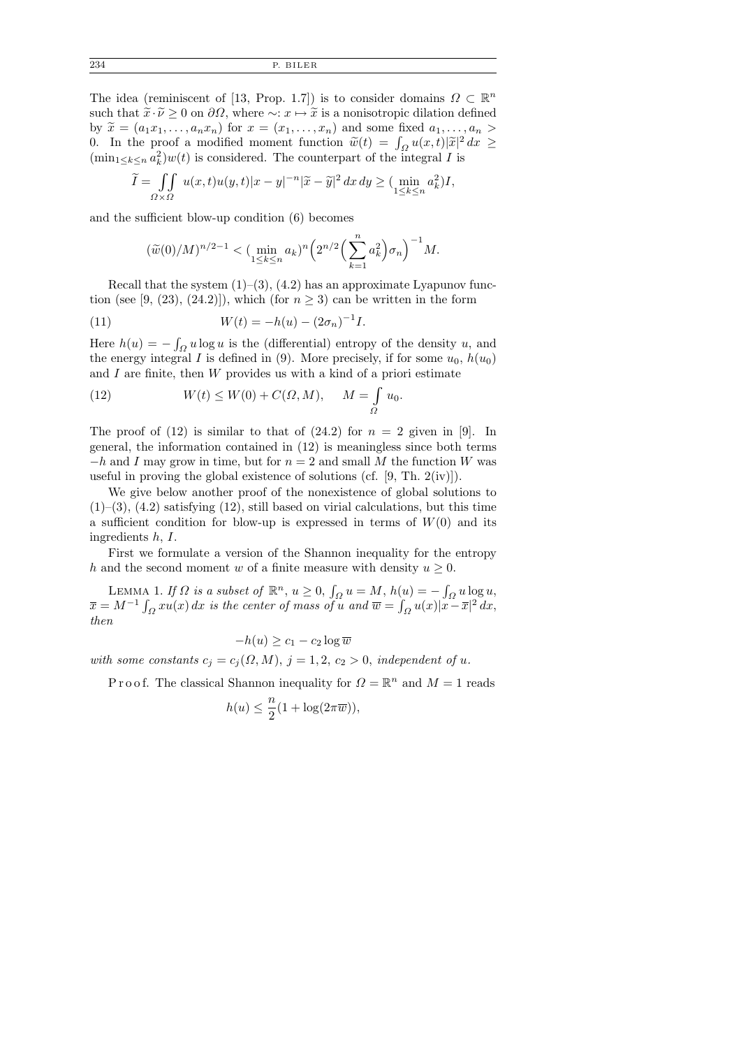234 P. BILER

The idea (reminiscent of [13, Prop. 1.7]) is to consider domains  $\Omega \subset \mathbb{R}^n$ such that  $\tilde{x}\cdot\tilde{\nu}\geq 0$  on  $\partial\Omega$ , where  $\sim: x\mapsto \tilde{x}$  is a nonisotropic dilation defined by  $\widetilde{x} = (a_1x_1, \ldots, a_nx_n)$  for  $x = (x_1, \ldots, x_n)$  and some fixed  $a_1, \ldots, a_n >$ 0. In the proof a modified moment function  $\tilde{w}(t) = \int_{\Omega} u(x,t) |\tilde{x}|^2 dx \ge$ <br>(min,  $\alpha \in \mathcal{L}^2(w(t))$  is considered. The counterpart of the integral List  $(\min_{1 \leq k \leq n} a_k^2) w(t)$  is considered. The counterpart of the integral I is

$$
\widetilde{I} = \iint\limits_{\Omega \times \Omega} u(x,t)u(y,t)|x-y|^{-n}|\widetilde{x}-\widetilde{y}|^2 dx dy \ge (\min_{1 \le k \le n} a_k^2)I,
$$

and the sufficient blow-up condition (6) becomes

$$
(\widetilde{w}(0)/M)^{n/2-1} < (\min_{1 \le k \le n} a_k)^n \left( 2^{n/2} \left( \sum_{k=1}^n a_k^2 \right) \sigma_n \right)^{-1} M.
$$

Recall that the system  $(1)$ – $(3)$ ,  $(4.2)$  has an approximate Lyapunov function (see [9, (23), (24.2)]), which (for  $n > 3$ ) can be written in the form

(11) 
$$
W(t) = -h(u) - (2\sigma_n)^{-1}I.
$$

Here  $h(u) = -\int_{\Omega} u \log u$  is the (differential) entropy of the density u, and the energy integral I is defined in (9). More precisely, if for some  $u_0$ ,  $h(u_0)$ and  $I$  are finite, then  $W$  provides us with a kind of a priori estimate

(12) 
$$
W(t) \leq W(0) + C(\Omega, M), \quad M = \int_{\Omega} u_0.
$$

The proof of  $(12)$  is similar to that of  $(24.2)$  for  $n = 2$  given in [9]. In general, the information contained in (12) is meaningless since both terms  $-h$  and I may grow in time, but for  $n = 2$  and small M the function W was useful in proving the global existence of solutions (cf.  $[9, Th. 2(iv)]$ ).

We give below another proof of the nonexistence of global solutions to  $(1)$ – $(3)$ ,  $(4.2)$  satisfying  $(12)$ , still based on virial calculations, but this time a sufficient condition for blow-up is expressed in terms of  $W(0)$  and its ingredients h, I.

First we formulate a version of the Shannon inequality for the entropy h and the second moment w of a finite measure with density  $u \geq 0$ .

LEMMA 1. If  $\Omega$  is a subset of  $\mathbb{R}^n$ ,  $u \geq 0$ ,  $\int_{\Omega} u = M$ ,  $h(u) = -\int_{\Omega} u \log u$ ,  $\overline{x} = M^{-1} \int_{\Omega} x u(x) dx$  is the center of mass of u and  $\overline{w} = \int_{\Omega} u(x) |x - \overline{x}|^2 dx$ , then

$$
-h(u) \ge c_1 - c_2 \log \overline{w}
$$

with some constants  $c_j = c_j(\Omega, M), j = 1, 2, c_2 > 0$ , independent of u.

P r o o f. The classical Shannon inequality for  $\Omega = \mathbb{R}^n$  and  $M = 1$  reads

$$
h(u) \le \frac{n}{2} (1 + \log(2\pi \overline{w})),
$$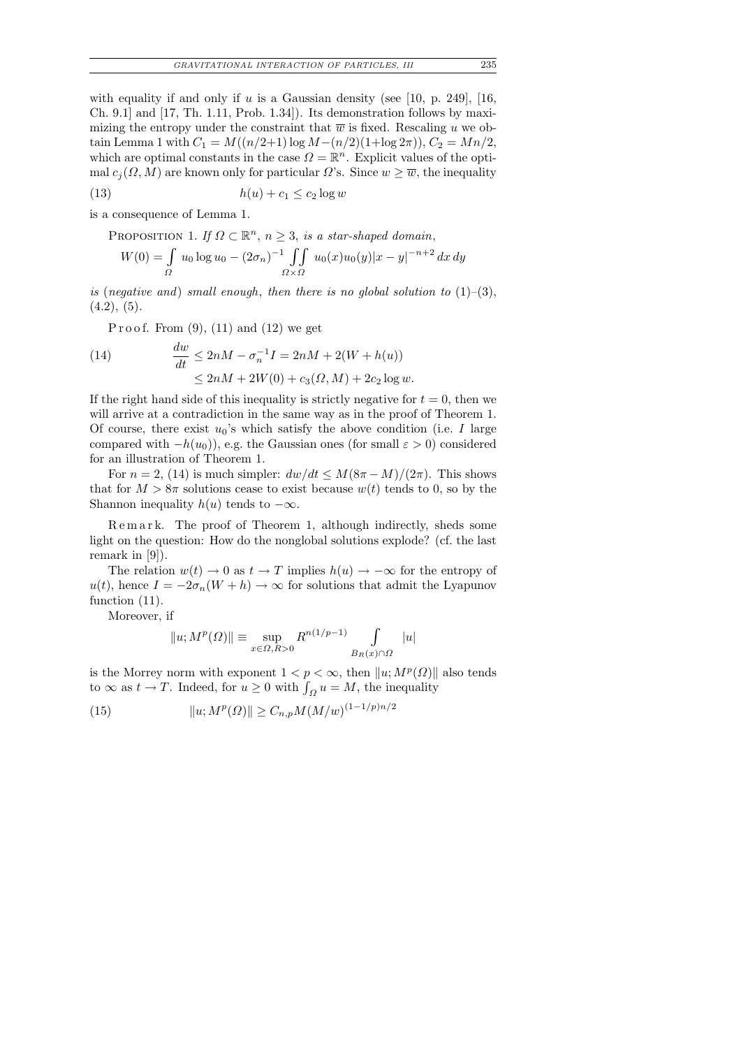with equality if and only if u is a Gaussian density (see [10, p. 249], [16, Ch. 9.1] and [17, Th. 1.11, Prob. 1.34]). Its demonstration follows by maximizing the entropy under the constraint that  $\overline{w}$  is fixed. Rescaling u we obtain Lemma 1 with  $C_1 = M((n/2+1)\log M-(n/2)(1+\log 2\pi)), C_2 = Mn/2,$ which are optimal constants in the case  $\Omega = \mathbb{R}^n$ . Explicit values of the optimal  $c_j(\Omega, M)$  are known only for particular  $\Omega$ 's. Since  $w \geq \overline{w}$ , the inequality

(13)  $h(u) + c_1 \leq c_2 \log w$ 

is a consequence of Lemma 1.

PROPOSITION 1. If  $\Omega \subset \mathbb{R}^n$ ,  $n \geq 3$ , is a star-shaped domain,

$$
W(0) = \int_{\Omega} u_0 \log u_0 - (2\sigma_n)^{-1} \iint_{\Omega \times \Omega} u_0(x)u_0(y)|x - y|^{-n+2} dx dy
$$

is (negative and) small enough, then there is no global solution to  $(1)-(3)$ ,  $(4.2), (5).$ 

Proof. From  $(9)$ ,  $(11)$  and  $(12)$  we get

(14) 
$$
\frac{dw}{dt} \le 2nM - \sigma_n^{-1}I = 2nM + 2(W + h(u))
$$

$$
\le 2nM + 2W(0) + c_3(\Omega, M) + 2c_2 \log w.
$$

If the right hand side of this inequality is strictly negative for  $t = 0$ , then we will arrive at a contradiction in the same way as in the proof of Theorem 1. Of course, there exist  $u_0$ 's which satisfy the above condition (i.e. I large compared with  $-h(u_0)$ , e.g. the Gaussian ones (for small  $\varepsilon > 0$ ) considered for an illustration of Theorem 1.

For  $n = 2$ , (14) is much simpler:  $dw/dt \leq M(8\pi - M)/(2\pi)$ . This shows that for  $M > 8\pi$  solutions cease to exist because  $w(t)$  tends to 0, so by the Shannon inequality  $h(u)$  tends to  $-\infty$ .

R e m a r k. The proof of Theorem 1, although indirectly, sheds some light on the question: How do the nonglobal solutions explode? (cf. the last remark in [9]).

The relation  $w(t) \to 0$  as  $t \to T$  implies  $h(u) \to -\infty$  for the entropy of  $u(t)$ , hence  $I = -2\sigma_n(W+h) \rightarrow \infty$  for solutions that admit the Lyapunov function (11).

Moreover, if

$$
||u; Mp(\Omega)|| \equiv \sup_{x \in \Omega, R>0} R^{n(1/p-1)} \int_{B_R(x) \cap \Omega} |u|
$$

is the Morrey norm with exponent  $1 < p < \infty$ , then  $||u; M<sup>p</sup>(\Omega)||$  also tends to  $\infty$  as  $t \to T$ . Indeed, for  $u \ge 0$  with  $\int_{\Omega} u = M$ , the inequality

(15) 
$$
||u; M^{p}(\Omega)|| \geq C_{n,p} M(M/w)^{(1-1/p)n/2}
$$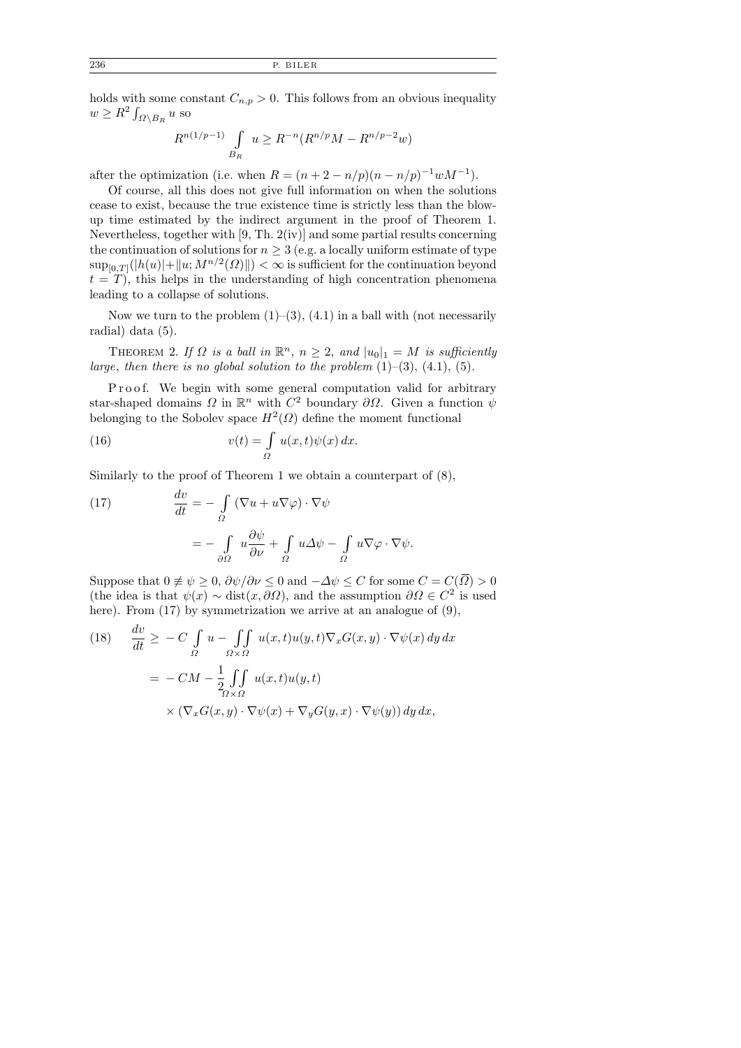holds with some constant  $C_{n,p} > 0$ . This follows from an obvious inequality  $w \geq R^2 \int_{\Omega \setminus B_R} u$  so

$$
R^{n(1/p-1)} \int\limits_{B_R} u \geq R^{-n} (R^{n/p} M - R^{n/p-2} w)
$$

after the optimization (i.e. when  $R = (n + 2 - n/p)(n - n/p)^{-1}wM^{-1}$ ).

Of course, all this does not give full information on when the solutions cease to exist, because the true existence time is strictly less than the blowup time estimated by the indirect argument in the proof of Theorem 1. Nevertheless, together with [9, Th. 2(iv)] and some partial results concerning the continuation of solutions for  $n \geq 3$  (e.g. a locally uniform estimate of type  $\sup_{[0,T]}(|h(u)|+ \|u; M^{n/2}(\varOmega)\|) < \infty$  is sufficient for the continuation beyond  $t = T$ , this helps in the understanding of high concentration phenomena leading to a collapse of solutions.

Now we turn to the problem  $(1)$ – $(3)$ ,  $(4.1)$  in a ball with (not necessarily radial) data (5).

THEOREM 2. If  $\Omega$  is a ball in  $\mathbb{R}^n$ ,  $n \geq 2$ , and  $|u_0|_1 = M$  is sufficiently large, then there is no global solution to the problem  $(1)$ – $(3)$ ,  $(4.1)$ ,  $(5)$ .

P r o o f. We begin with some general computation valid for arbitrary star-shaped domains  $\Omega$  in  $\mathbb{R}^n$  with  $C^2$  boundary  $\partial\Omega$ . Given a function  $\psi$ belonging to the Sobolev space  $H^2(\Omega)$  define the moment functional

(16) 
$$
v(t) = \int_{\Omega} u(x, t) \psi(x) dx.
$$

Similarly to the proof of Theorem 1 we obtain a counterpart of (8),

(17) 
$$
\frac{dv}{dt} = -\int_{\Omega} (\nabla u + u\nabla \varphi) \cdot \nabla \psi
$$

$$
= -\int_{\partial \Omega} u \frac{\partial \psi}{\partial \nu} + \int_{\Omega} u \Delta \psi - \int_{\Omega} u \nabla \varphi \cdot \nabla \psi.
$$

Suppose that  $0 \neq \psi \geq 0$ ,  $\partial \psi / \partial \nu \leq 0$  and  $-\Delta \psi \leq C$  for some  $C = C(\overline{\Omega}) > 0$ (the idea is that  $\psi(x) \sim \text{dist}(x, \partial \Omega)$ , and the assumption  $\partial \Omega \in C^2$  is used here). From (17) by symmetrization we arrive at an analogue of (9),

(18) 
$$
\frac{dv}{dt} \geq -C \int_{\Omega} u - \int_{\Omega \times \Omega} u(x, t) u(y, t) \nabla_x G(x, y) \cdot \nabla \psi(x) dy dx
$$

$$
= -CM - \frac{1}{2} \int_{\Omega \times \Omega} u(x, t) u(y, t)
$$

$$
\times (\nabla_x G(x, y) \cdot \nabla \psi(x) + \nabla_y G(y, x) \cdot \nabla \psi(y)) dy dx,
$$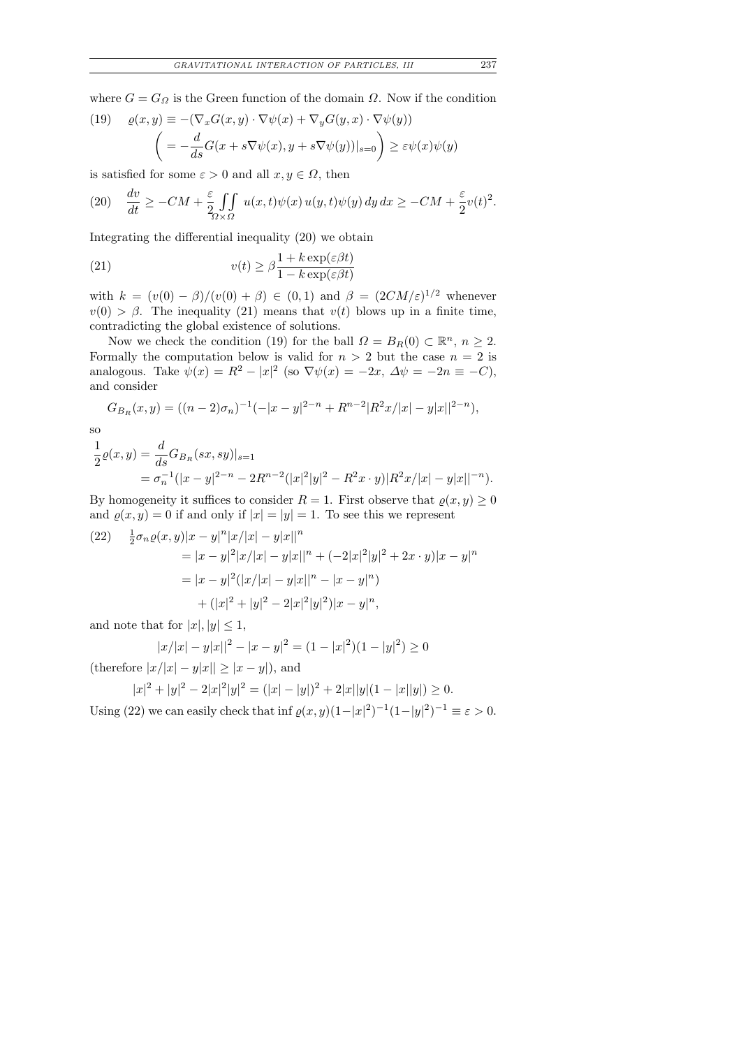where  $G = G_{\Omega}$  is the Green function of the domain  $\Omega$ . Now if the condition

(19) 
$$
\varrho(x, y) \equiv -(\nabla_x G(x, y) \cdot \nabla \psi(x) + \nabla_y G(y, x) \cdot \nabla \psi(y))
$$

$$
= -\frac{d}{ds} G(x + s \nabla \psi(x), y + s \nabla \psi(y))|_{s=0} \ge \varepsilon \psi(x) \psi(y)
$$

is satisfied for some  $\varepsilon > 0$  and all  $x, y \in \Omega$ , then

(20) 
$$
\frac{dv}{dt} \ge -CM + \frac{\varepsilon}{2} \iint_{\Omega \times \Omega} u(x,t) \psi(x) u(y,t) \psi(y) dy dx \ge -CM + \frac{\varepsilon}{2} v(t)^2.
$$

Integrating the differential inequality (20) we obtain

(21) 
$$
v(t) \geq \beta \frac{1 + k \exp(\varepsilon \beta t)}{1 - k \exp(\varepsilon \beta t)}
$$

with  $k = (v(0) - \beta)/(v(0) + \beta) \in (0,1)$  and  $\beta = (2CM/\varepsilon)^{1/2}$  whenever  $v(0) > \beta$ . The inequality (21) means that  $v(t)$  blows up in a finite time, contradicting the global existence of solutions.

Now we check the condition (19) for the ball  $\Omega = B_R(0) \subset \mathbb{R}^n$ ,  $n \geq 2$ . Formally the computation below is valid for  $n > 2$  but the case  $n = 2$  is analogous. Take  $\psi(x) = R^2 - |x|^2$  (so  $\nabla \psi(x) = -2x$ ,  $\Delta \psi = -2n \equiv -C$ ), and consider

$$
G_{B_R}(x,y) = ((n-2)\sigma_n)^{-1}(-|x-y|^{2-n} + R^{n-2}|R^2x/|x| - y|x||^{2-n}),
$$

so

$$
\frac{1}{2}\varrho(x,y) = \frac{d}{ds}G_{B_R}(sx,sy)|_{s=1}
$$
  
=  $\sigma_n^{-1}(|x-y|^{2-n} - 2R^{n-2}(|x|^2|y|^2 - R^2x \cdot y)|R^2x/|x| - y|x||^{-n}).$ 

By homogeneity it suffices to consider  $R = 1$ . First observe that  $\rho(x, y) \geq 0$ and  $\rho(x, y) = 0$  if and only if  $|x| = |y| = 1$ . To see this we represent

(22) 
$$
\frac{1}{2}\sigma_n \varrho(x, y)|x - y|^n |x/|x| - y|x||^n
$$
  
\n
$$
= |x - y|^2 |x/|x| - y|x||^n + (-2|x|^2|y|^2 + 2x \cdot y)|x - y|^n
$$
  
\n
$$
= |x - y|^2 (|x/|x| - y|x||^n - |x - y|^n)
$$
  
\n
$$
+ (|x|^2 + |y|^2 - 2|x|^2|y|^2)|x - y|^n,
$$

and note that for  $|x|, |y| \leq 1$ ,

$$
|x/|x| - y|x||^2 - |x - y|^2 = (1 - |x|^2)(1 - |y|^2) \ge 0
$$

(therefore  $|x/|x| - y|x|| \ge |x - y|$ ), and

$$
|x|^{2} + |y|^{2} - 2|x|^{2}|y|^{2} = (|x| - |y|)^{2} + 2|x||y|(1 - |x||y|) \ge 0.
$$

Using (22) we can easily check that inf  $\varrho(x, y)(1-|x|^2)^{-1}(1-|y|^2)^{-1} \equiv \varepsilon > 0$ .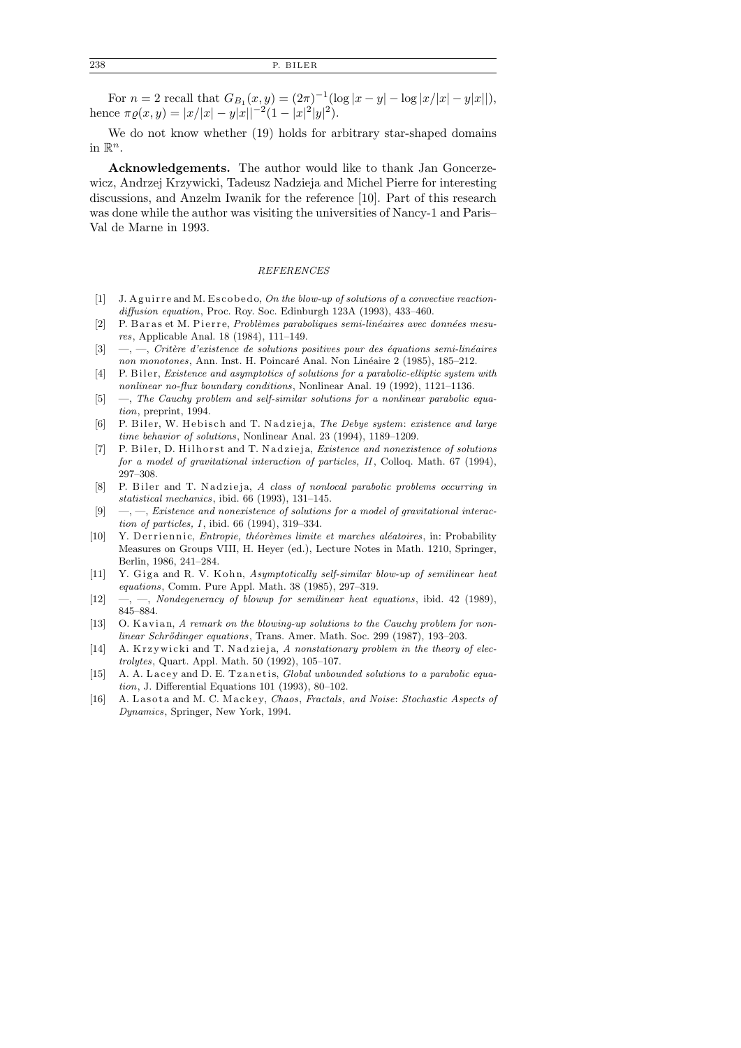For  $n = 2$  recall that  $G_{B_1}(x, y) = (2\pi)^{-1} (\log |x - y| - \log |x| |x - y| |x|),$ hence  $\pi \varrho(x, y) = |x/|x| - y|x||^{-2}(1 - |x|^2|y|^2)$ .

We do not know whether (19) holds for arbitrary star-shaped domains in  $\mathbb{R}^n$ .

Acknowledgements. The author would like to thank Jan Goncerzewicz, Andrzej Krzywicki, Tadeusz Nadzieja and Michel Pierre for interesting discussions, and Anzelm Iwanik for the reference [10]. Part of this research was done while the author was visiting the universities of Nancy-1 and Paris– Val de Marne in 1993.

#### *REFERENCES*

- [1] J. A guirre and M. Escobedo, On the blow-up of solutions of a convective reaction*diffusion equation*, Proc. Roy. Soc. Edinburgh 123A (1993), 433–460.
- [2] P. Baras et M. Pierre, *Problèmes paraboliques semi-linéaires avec données mesures*, Applicable Anal. 18 (1984), 111–149.
- [3] —, —, *Critère d'existence de solutions positives pour des équations semi-linéaires non monotones*, Ann. Inst. H. Poincaré Anal. Non Linéaire 2 (1985), 185–212.
- [4] P. Biler, *Existence and asymptotics of solutions for a parabolic-elliptic system with nonlinear no-flux boundary conditions*, Nonlinear Anal. 19 (1992), 1121–1136.
- [5] —, *The Cauchy problem and self-similar solutions for a nonlinear parabolic equation*, preprint, 1994.
- [6] P. Biler, W. Hebisch and T. Nadzieja, *The Debye system: existence and large time behavior of solutions*, Nonlinear Anal. 23 (1994), 1189–1209.
- [7] P. Biler, D. Hilhorst and T. Nadzieja, *Existence and nonexistence of solutions for a model of gravitational interaction of particles, II*, Colloq. Math. 67 (1994), 297–308.
- [8] P. Biler and T. Nadzieja, *A class of nonlocal parabolic problems occurring in statistical mechanics*, ibid. 66 (1993), 131–145.
- [9] —, —, *Existence and nonexistence of solutions for a model of gravitational interaction of particles, I*, ibid. 66 (1994), 319–334.
- [10] Y. Derriennic, *Entropie, théorèmes limite et marches aléatoires*, in: Probability Measures on Groups VIII, H. Heyer (ed.), Lecture Notes in Math. 1210, Springer, Berlin, 1986, 241–284.
- [11] Y. Giga and R. V. Kohn, *Asymptotically self-similar blow-up of semilinear heat equations*, Comm. Pure Appl. Math. 38 (1985), 297–319.
- [12] —, —, *Nondegeneracy of blowup for semilinear heat equations*, ibid. 42 (1989), 845–884.
- [13] O. Kavian, *A remark on the blowing-up solutions to the Cauchy problem for nonlinear Schrödinger equations*, Trans. Amer. Math. Soc. 299 (1987), 193-203.
- [14] A. Krzywicki and T. Nadzieja, A nonstationary problem in the theory of elec*trolytes*, Quart. Appl. Math. 50 (1992), 105–107.
- [15] A. A. Lacey and D. E. Tzanetis, *Global unbounded solutions to a parabolic equation*, J. Differential Equations 101 (1993), 80–102.
- [16] A. Lasota and M. C. Mackey, *Chaos, Fractals, and Noise: Stochastic Aspects of Dynamics*, Springer, New York, 1994.